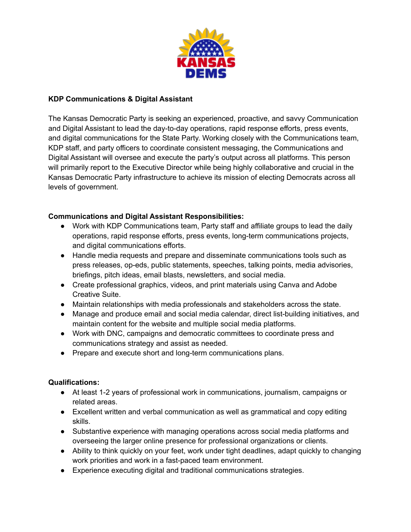

## **KDP Communications & Digital Assistant**

The Kansas Democratic Party is seeking an experienced, proactive, and savvy Communication and Digital Assistant to lead the day-to-day operations, rapid response efforts, press events, and digital communications for the State Party. Working closely with the Communications team, KDP staff, and party officers to coordinate consistent messaging, the Communications and Digital Assistant will oversee and execute the party's output across all platforms. This person will primarily report to the Executive Director while being highly collaborative and crucial in the Kansas Democratic Party infrastructure to achieve its mission of electing Democrats across all levels of government.

## **Communications and Digital Assistant Responsibilities:**

- Work with KDP Communications team, Party staff and affiliate groups to lead the daily operations, rapid response efforts, press events, long-term communications projects, and digital communications efforts.
- Handle media requests and prepare and disseminate communications tools such as press releases, op-eds, public statements, speeches, talking points, media advisories, briefings, pitch ideas, email blasts, newsletters, and social media.
- Create professional graphics, videos, and print materials using Canva and Adobe Creative Suite.
- Maintain relationships with media professionals and stakeholders across the state.
- Manage and produce email and social media calendar, direct list-building initiatives, and maintain content for the website and multiple social media platforms.
- Work with DNC, campaigns and democratic committees to coordinate press and communications strategy and assist as needed.
- Prepare and execute short and long-term communications plans.

## **Qualifications:**

- At least 1-2 years of professional work in communications, journalism, campaigns or related areas.
- Excellent written and verbal communication as well as grammatical and copy editing skills.
- Substantive experience with managing operations across social media platforms and overseeing the larger online presence for professional organizations or clients.
- Ability to think quickly on your feet, work under tight deadlines, adapt quickly to changing work priorities and work in a fast-paced team environment.
- Experience executing digital and traditional communications strategies.